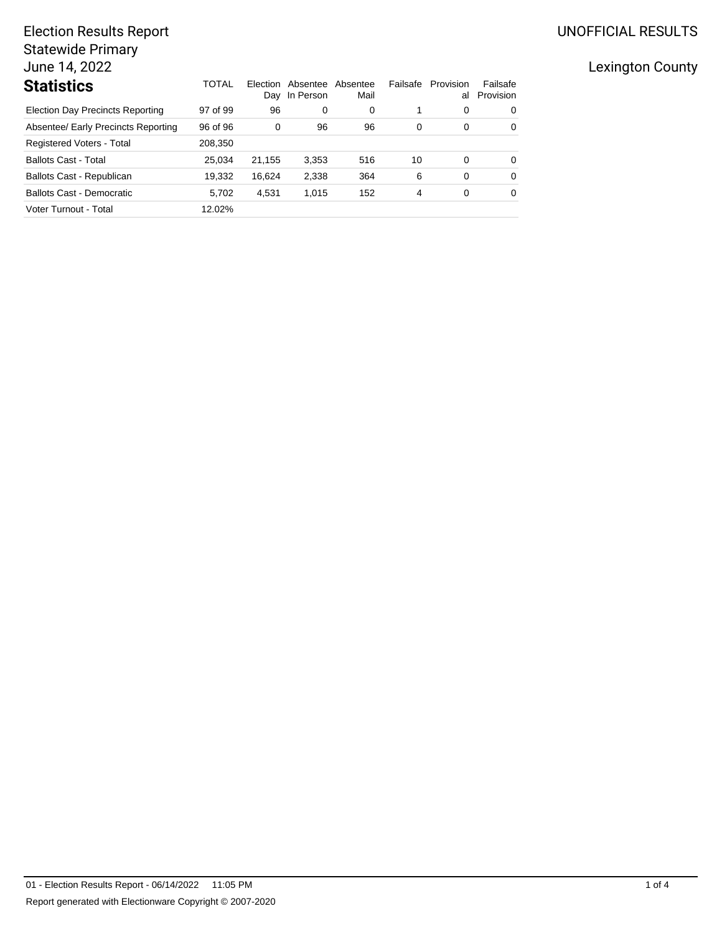## UNOFFICIAL RESULTS

# Election Results Report Statewide Primary June 14, 2022

| <b>Statistics</b>                       | TOTAL    | Election | Absentee<br>Day In Person | Absentee<br>Mail | Failsafe | Provision<br>al | Failsafe<br>Provision |
|-----------------------------------------|----------|----------|---------------------------|------------------|----------|-----------------|-----------------------|
| <b>Election Day Precincts Reporting</b> | 97 of 99 | 96       | 0                         | 0                |          | 0               | 0                     |
| Absentee/ Early Precincts Reporting     | 96 of 96 | 0        | 96                        | 96               | 0        | 0               | 0                     |
| Registered Voters - Total               | 208.350  |          |                           |                  |          |                 |                       |
| <b>Ballots Cast - Total</b>             | 25.034   | 21.155   | 3,353                     | 516              | 10       | 0               | 0                     |
| Ballots Cast - Republican               | 19.332   | 16.624   | 2,338                     | 364              | 6        | 0               | 0                     |
| <b>Ballots Cast - Democratic</b>        | 5.702    | 4,531    | 1,015                     | 152              | 4        | 0               | 0                     |
| Voter Turnout - Total                   | 12.02%   |          |                           |                  |          |                 |                       |

## Lexington County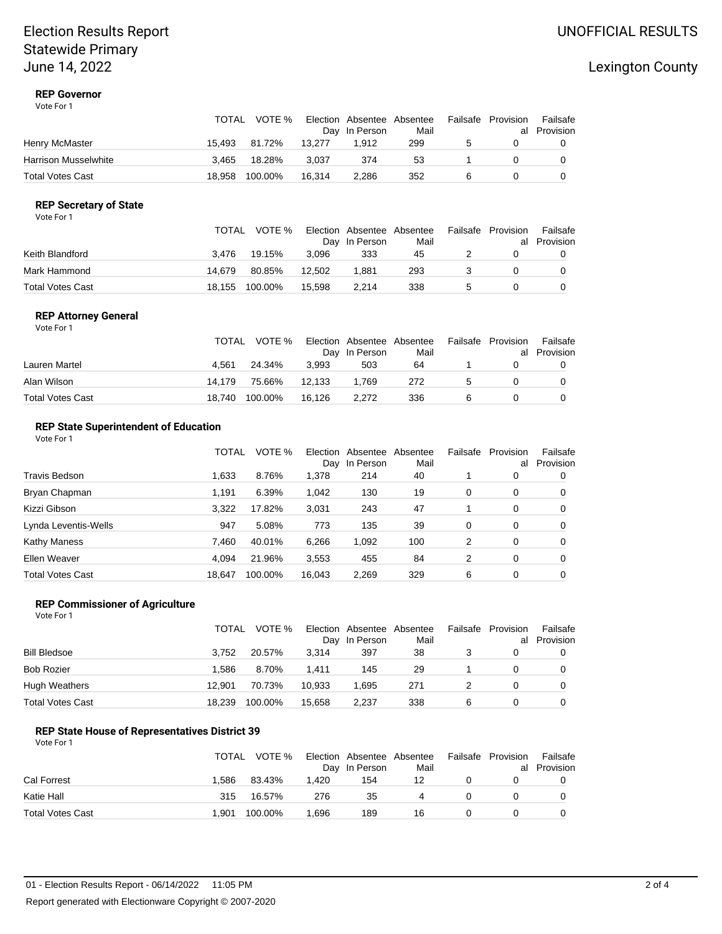## Election Results Report Statewide Primary June 14, 2022

## Lexington County

#### **REP Governor** Vote For 1

|                         | TOTAL  | VOTE %  |        | Election Absentee Absentee<br>Day In Person | Mail | Failsafe | Provision | Failsafe<br>al Provision |
|-------------------------|--------|---------|--------|---------------------------------------------|------|----------|-----------|--------------------------|
| Henry McMaster          | 15.493 | 81.72%  | 13.277 | 1.912                                       | 299  | 5        |           |                          |
| Harrison Musselwhite    | 3.465  | 18.28%  | 3.037  | 374                                         | 53   |          |           |                          |
| <b>Total Votes Cast</b> | 18.958 | 100.00% | 16.314 | 2.286                                       | 352  |          |           |                          |

### **REP Secretary of State**

|                         | TOTAL  | VOTE %  |        | Election Absentee Absentee<br>Day In Person | Mail | Failsafe Provision | Failsafe<br>al Provision |
|-------------------------|--------|---------|--------|---------------------------------------------|------|--------------------|--------------------------|
| Keith Blandford         | 3.476  | 19.15%  | 3.096  | 333                                         | 45   |                    |                          |
| Mark Hammond            | 14.679 | 80.85%  | 12.502 | 1.881                                       | 293  |                    |                          |
| <b>Total Votes Cast</b> | 18.155 | 100.00% | 15.598 | 2.214                                       | 338  |                    |                          |

#### **REP Attorney General** Vote For 1

|                  | TOTAL  | VOTE %  |        | Election Absentee Absentee<br>Day In Person | Mail |   | Failsafe Provision | Failsafe<br>al Provision |
|------------------|--------|---------|--------|---------------------------------------------|------|---|--------------------|--------------------------|
| Lauren Martel    | 4.561  | 24.34%  | 3.993  | 503                                         | 64   |   |                    |                          |
| Alan Wilson      | 14.179 | 75.66%  | 12.133 | 1.769                                       | 272  | 5 |                    |                          |
| Total Votes Cast | 18.740 | 100.00% | 16.126 | 2.272                                       | 336  |   |                    |                          |

#### **REP State Superintendent of Education** Vote For 1

|                         | TOTAL  | VOTE %  | Election<br>Dav | Absentee<br>In Person | Absentee<br>Mail | Failsafe | Provision<br>al | Failsafe<br>Provision |
|-------------------------|--------|---------|-----------------|-----------------------|------------------|----------|-----------------|-----------------------|
| Travis Bedson           | 1,633  | 8.76%   | 1,378           | 214                   | 40               |          | 0               |                       |
| Bryan Chapman           | 1.191  | 6.39%   | 1,042           | 130                   | 19               | 0        | 0               | 0                     |
| Kizzi Gibson            | 3.322  | 17.82%  | 3,031           | 243                   | 47               |          | 0               | 0                     |
| Lynda Leventis-Wells    | 947    | 5.08%   | 773             | 135                   | 39               | 0        | 0               | 0                     |
| <b>Kathy Maness</b>     | 7.460  | 40.01%  | 6,266           | 1,092                 | 100              | 2        | 0               | 0                     |
| Ellen Weaver            | 4.094  | 21.96%  | 3,553           | 455                   | 84               | 2        | 0               | 0                     |
| <b>Total Votes Cast</b> | 18.647 | 100.00% | 16.043          | 2.269                 | 329              | 6        | 0               |                       |

#### **REP Commissioner of Agriculture**

| Vote For 1 |  |
|------------|--|
|------------|--|

|                   | TOTAL  | VOTE %  |        | Election Absentee<br>Day In Person | Absentee<br>Mail | Failsafe | Provision<br>al | Failsafe<br>Provision |
|-------------------|--------|---------|--------|------------------------------------|------------------|----------|-----------------|-----------------------|
| Bill Bledsoe      | 3.752  | 20.57%  | 3.314  | 397                                | 38               |          |                 |                       |
| <b>Bob Rozier</b> | 1.586  | 8.70%   | 1.411  | 145                                | 29               |          |                 |                       |
| Hugh Weathers     | 12.901 | 70.73%  | 10.933 | 1.695                              | 271              |          |                 |                       |
| Total Votes Cast  | 18.239 | 100.00% | 15.658 | 2,237                              | 338              | 6        |                 |                       |

#### **REP State House of Representatives District 39**

| Vote For 1 |  |
|------------|--|
|            |  |

|                  | TOTAL | VOTE %  |       | Election Absentee Absentee<br>Day In Person | Mail |          | Failsafe Provision | Failsafe<br>al Provision |
|------------------|-------|---------|-------|---------------------------------------------|------|----------|--------------------|--------------------------|
| Cal Forrest      | 1.586 | 83.43%  | 1.420 | 154                                         | 12   |          |                    |                          |
| Katie Hall       | 315   | 16.57%  | 276   | 35                                          | 4    | $\Omega$ |                    |                          |
| Total Votes Cast | 1.901 | 100.00% | 1.696 | 189                                         | 16   |          |                    |                          |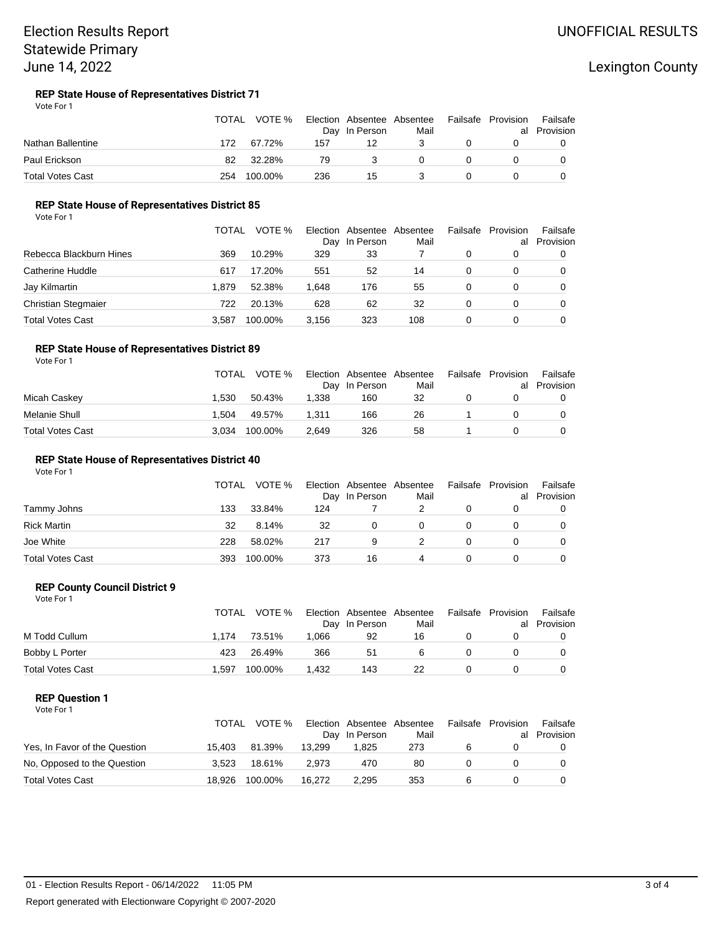## Election Results Report Statewide Primary June 14, 2022

## Lexington County

#### **REP State House of Representatives District 71** Vote For 1

|                         | <b>TOTAL</b> | VOTE %  |     | Election Absentee Absentee<br>Day In Person | Mail |   | Failsafe Provision | Failsafe<br>al Provision |
|-------------------------|--------------|---------|-----|---------------------------------------------|------|---|--------------------|--------------------------|
| Nathan Ballentine       | 172          | 67.72%  | 157 | 12                                          |      |   |                    |                          |
| Paul Erickson           | 82           | 32.28%  | 79  | 3                                           |      | 0 |                    |                          |
| <b>Total Votes Cast</b> | 254          | 100.00% | 236 | 15                                          |      |   |                    |                          |

#### **REP State House of Representatives District 85**

Vote For 1

|                         | <b>TOTAL</b> | VOTE %  | Day   | Election Absentee<br>In Person | Absentee<br>Mail | Failsafe | Provision<br>al | Failsafe<br>Provision |
|-------------------------|--------------|---------|-------|--------------------------------|------------------|----------|-----------------|-----------------------|
| Rebecca Blackburn Hines | 369          | 10.29%  | 329   | 33                             |                  |          |                 |                       |
| Catherine Huddle        | 617          | 17.20%  | 551   | 52                             | 14               |          |                 |                       |
| Jay Kilmartin           | 1.879        | 52.38%  | 1.648 | 176                            | 55               |          |                 |                       |
| Christian Stegmaier     | 722          | 20.13%  | 628   | 62                             | 32               |          |                 |                       |
| <b>Total Votes Cast</b> | 3.587        | 100.00% | 3.156 | 323                            | 108              |          |                 |                       |

#### **REP State House of Representatives District 89** Vote For 1

|                         | <b>TOTAL</b> | VOTE %  |       | Election Absentee Absentee<br>Day In Person | Mail | Failsafe | Provision | Failsafe<br>al Provision |
|-------------------------|--------------|---------|-------|---------------------------------------------|------|----------|-----------|--------------------------|
| Micah Caskey            | 1.530        | 50.43%  | 1.338 | 160                                         | 32   |          |           |                          |
| Melanie Shull           | 1.504        | 49.57%  | 1.311 | 166                                         | 26   |          |           |                          |
| <b>Total Votes Cast</b> | 3.034        | 100.00% | 2.649 | 326                                         | 58   |          |           |                          |

#### **REP State House of Representatives District 40**

Vote For 1

|                         | <b>TOTAL</b> | VOTE %  |     | Election Absentee Absentee<br>Day In Person | Mail | Failsafe | Provision<br>al | Failsafe<br>Provision |
|-------------------------|--------------|---------|-----|---------------------------------------------|------|----------|-----------------|-----------------------|
| Tammy Johns             | 133          | 33.84%  | 124 |                                             |      |          |                 |                       |
| <b>Rick Martin</b>      | 32           | 8.14%   | 32  | 0                                           |      |          |                 |                       |
| Joe White               | 228          | 58.02%  | 217 | 9                                           |      |          |                 |                       |
| <b>Total Votes Cast</b> | 393          | 100.00% | 373 | 16                                          | 4    |          |                 |                       |

#### **REP County Council District 9**

| Vote For 1     |              |        |       |               |                                   |                    |          |
|----------------|--------------|--------|-------|---------------|-----------------------------------|--------------------|----------|
|                | TOTAL        |        |       |               | VOTE % Election Absentee Absentee | Failsafe Provision | Failsa   |
|                |              |        |       | Day In Person | Mail                              | al                 | Provisio |
| M Todd Cullum  | 1.174 73.51% |        | 1.066 | 92            | 16                                |                    | 0        |
| Bobby L Porter | 423          | 26.49% | 366   | -51           | 6                                 |                    |          |

#### **REP Question 1**

Vote For 1

|                               | TOTAL  | VOTE %  |        | Election Absentee Absentee<br>Day In Person | Mail | Failsafe | Provision<br>al | Failsafe<br>Provision |
|-------------------------------|--------|---------|--------|---------------------------------------------|------|----------|-----------------|-----------------------|
| Yes, In Favor of the Question | 15.403 | 81.39%  | 13.299 | 1.825                                       | 273  | 6        |                 |                       |
| No, Opposed to the Question   | 3.523  | 18.61%  | 2.973  | 470                                         | 80   |          |                 |                       |
| <b>Total Votes Cast</b>       | 18.926 | 100.00% | 16.272 | 2.295                                       | 353  |          |                 |                       |

Total Votes Cast **1,597 100.00%** 1,432 143 22 0 0 0

al Provision Failsafe